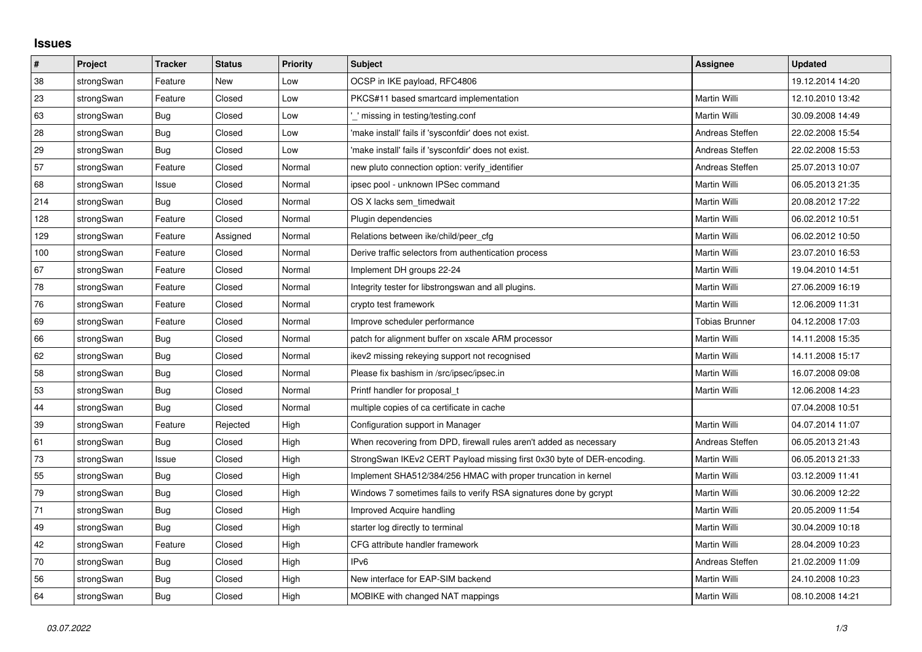## **Issues**

| $\vert$ # | Project    | <b>Tracker</b> | <b>Status</b> | <b>Priority</b> | <b>Subject</b>                                                         | Assignee              | <b>Updated</b>   |
|-----------|------------|----------------|---------------|-----------------|------------------------------------------------------------------------|-----------------------|------------------|
| 38        | strongSwan | Feature        | New           | Low             | OCSP in IKE payload, RFC4806                                           |                       | 19.12.2014 14:20 |
| 23        | strongSwan | Feature        | Closed        | Low             | PKCS#11 based smartcard implementation                                 | Martin Willi          | 12.10.2010 13:42 |
| 63        | strongSwan | Bug            | Closed        | Low             | ' missing in testing/testing.conf                                      | Martin Willi          | 30.09.2008 14:49 |
| 28        | strongSwan | Bug            | Closed        | Low             | 'make install' fails if 'sysconfdir' does not exist.                   | Andreas Steffen       | 22.02.2008 15:54 |
| 29        | strongSwan | Bug            | Closed        | Low             | 'make install' fails if 'sysconfdir' does not exist.                   | Andreas Steffen       | 22.02.2008 15:53 |
| 57        | strongSwan | Feature        | Closed        | Normal          | new pluto connection option: verify_identifier                         | Andreas Steffen       | 25.07.2013 10:07 |
| 68        | strongSwan | Issue          | Closed        | Normal          | ipsec pool - unknown IPSec command                                     | Martin Willi          | 06.05.2013 21:35 |
| 214       | strongSwan | Bug            | Closed        | Normal          | OS X lacks sem timedwait                                               | Martin Willi          | 20.08.2012 17:22 |
| 128       | strongSwan | Feature        | Closed        | Normal          | Plugin dependencies                                                    | Martin Willi          | 06.02.2012 10:51 |
| 129       | strongSwan | Feature        | Assigned      | Normal          | Relations between ike/child/peer cfg                                   | Martin Willi          | 06.02.2012 10:50 |
| 100       | strongSwan | Feature        | Closed        | Normal          | Derive traffic selectors from authentication process                   | Martin Willi          | 23.07.2010 16:53 |
| 67        | strongSwan | Feature        | Closed        | Normal          | Implement DH groups 22-24                                              | Martin Willi          | 19.04.2010 14:51 |
| 78        | strongSwan | Feature        | Closed        | Normal          | Integrity tester for libstrongswan and all plugins.                    | Martin Willi          | 27.06.2009 16:19 |
| 76        | strongSwan | Feature        | Closed        | Normal          | crypto test framework                                                  | Martin Willi          | 12.06.2009 11:31 |
| 69        | strongSwan | Feature        | Closed        | Normal          | Improve scheduler performance                                          | <b>Tobias Brunner</b> | 04.12.2008 17:03 |
| 66        | strongSwan | Bug            | Closed        | Normal          | patch for alignment buffer on xscale ARM processor                     | Martin Willi          | 14.11.2008 15:35 |
| 62        | strongSwan | <b>Bug</b>     | Closed        | Normal          | ikev2 missing rekeying support not recognised                          | Martin Willi          | 14.11.2008 15:17 |
| 58        | strongSwan | Bug            | Closed        | Normal          | Please fix bashism in /src/ipsec/ipsec.in                              | Martin Willi          | 16.07.2008 09:08 |
| 53        | strongSwan | Bug            | Closed        | Normal          | Printf handler for proposal t                                          | Martin Willi          | 12.06.2008 14:23 |
| 44        | strongSwan | Bug            | Closed        | Normal          | multiple copies of ca certificate in cache                             |                       | 07.04.2008 10:51 |
| 39        | strongSwan | Feature        | Rejected      | High            | Configuration support in Manager                                       | Martin Willi          | 04.07.2014 11:07 |
| 61        | strongSwan | Bug            | Closed        | High            | When recovering from DPD, firewall rules aren't added as necessary     | Andreas Steffen       | 06.05.2013 21:43 |
| 73        | strongSwan | Issue          | Closed        | High            | StrongSwan IKEv2 CERT Payload missing first 0x30 byte of DER-encoding. | Martin Willi          | 06.05.2013 21:33 |
| 55        | strongSwan | <b>Bug</b>     | Closed        | High            | Implement SHA512/384/256 HMAC with proper truncation in kernel         | Martin Willi          | 03.12.2009 11:41 |
| 79        | strongSwan | Bug            | Closed        | High            | Windows 7 sometimes fails to verify RSA signatures done by gcrypt      | Martin Willi          | 30.06.2009 12:22 |
| 71        | strongSwan | Bug            | Closed        | High            | Improved Acquire handling                                              | Martin Willi          | 20.05.2009 11:54 |
| 49        | strongSwan | Bug            | Closed        | High            | starter log directly to terminal                                       | Martin Willi          | 30.04.2009 10:18 |
| 42        | strongSwan | Feature        | Closed        | High            | CFG attribute handler framework                                        | Martin Willi          | 28.04.2009 10:23 |
| 70        | strongSwan | <b>Bug</b>     | Closed        | High            | IPv6                                                                   | Andreas Steffen       | 21.02.2009 11:09 |
| 56        | strongSwan | Bug            | Closed        | High            | New interface for EAP-SIM backend                                      | Martin Willi          | 24.10.2008 10:23 |
| 64        | strongSwan | Bug            | Closed        | High            | MOBIKE with changed NAT mappings                                       | Martin Willi          | 08.10.2008 14:21 |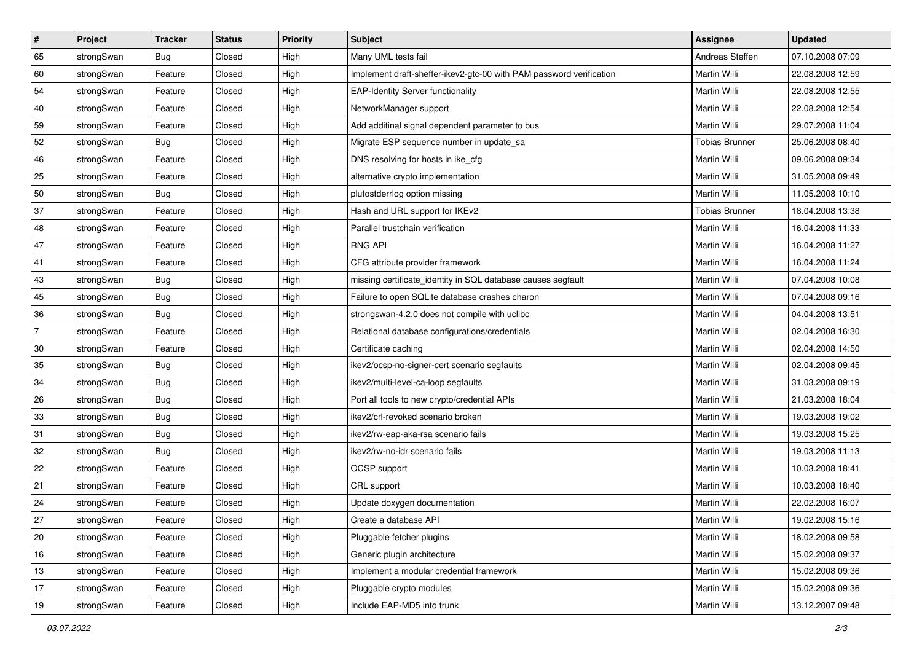| ∦              | Project    | <b>Tracker</b> | <b>Status</b> | <b>Priority</b> | <b>Subject</b>                                                      | Assignee              | <b>Updated</b>   |
|----------------|------------|----------------|---------------|-----------------|---------------------------------------------------------------------|-----------------------|------------------|
| 65             | strongSwan | <b>Bug</b>     | Closed        | High            | Many UML tests fail                                                 | Andreas Steffen       | 07.10.2008 07:09 |
| 60             | strongSwan | Feature        | Closed        | High            | Implement draft-sheffer-ikev2-gtc-00 with PAM password verification | Martin Willi          | 22.08.2008 12:59 |
| 54             | strongSwan | Feature        | Closed        | High            | <b>EAP-Identity Server functionality</b>                            | Martin Willi          | 22.08.2008 12:55 |
| 40             | strongSwan | Feature        | Closed        | High            | NetworkManager support                                              | Martin Willi          | 22.08.2008 12:54 |
| 59             | strongSwan | Feature        | Closed        | High            | Add additinal signal dependent parameter to bus                     | <b>Martin Willi</b>   | 29.07.2008 11:04 |
| 52             | strongSwan | <b>Bug</b>     | Closed        | High            | Migrate ESP sequence number in update_sa                            | <b>Tobias Brunner</b> | 25.06.2008 08:40 |
| 46             | strongSwan | Feature        | Closed        | High            | DNS resolving for hosts in ike_cfg                                  | Martin Willi          | 09.06.2008 09:34 |
| 25             | strongSwan | Feature        | Closed        | High            | alternative crypto implementation                                   | Martin Willi          | 31.05.2008 09:49 |
| 50             | strongSwan | <b>Bug</b>     | Closed        | High            | plutostderrlog option missing                                       | Martin Willi          | 11.05.2008 10:10 |
| 37             | strongSwan | Feature        | Closed        | High            | Hash and URL support for IKEv2                                      | <b>Tobias Brunner</b> | 18.04.2008 13:38 |
| 48             | strongSwan | Feature        | Closed        | High            | Parallel trustchain verification                                    | Martin Willi          | 16.04.2008 11:33 |
| 47             | strongSwan | Feature        | Closed        | High            | <b>RNG API</b>                                                      | Martin Willi          | 16.04.2008 11:27 |
| 41             | strongSwan | Feature        | Closed        | High            | CFG attribute provider framework                                    | <b>Martin Willi</b>   | 16.04.2008 11:24 |
| 43             | strongSwan | Bug            | Closed        | High            | missing certificate_identity in SQL database causes segfault        | Martin Willi          | 07.04.2008 10:08 |
| 45             | strongSwan | Bug            | Closed        | High            | Failure to open SQLite database crashes charon                      | <b>Martin Willi</b>   | 07.04.2008 09:16 |
| 36             | strongSwan | Bug            | Closed        | High            | strongswan-4.2.0 does not compile with uclibc                       | Martin Willi          | 04.04.2008 13:51 |
| $\overline{7}$ | strongSwan | Feature        | Closed        | High            | Relational database configurations/credentials                      | Martin Willi          | 02.04.2008 16:30 |
| 30             | strongSwan | Feature        | Closed        | High            | Certificate caching                                                 | Martin Willi          | 02.04.2008 14:50 |
| 35             | strongSwan | <b>Bug</b>     | Closed        | High            | ikev2/ocsp-no-signer-cert scenario segfaults                        | Martin Willi          | 02.04.2008 09:45 |
| 34             | strongSwan | <b>Bug</b>     | Closed        | High            | ikev2/multi-level-ca-loop segfaults                                 | Martin Willi          | 31.03.2008 09:19 |
| 26             | strongSwan | Bug            | Closed        | High            | Port all tools to new crypto/credential APIs                        | Martin Willi          | 21.03.2008 18:04 |
| 33             | strongSwan | Bug            | Closed        | High            | ikev2/crl-revoked scenario broken                                   | Martin Willi          | 19.03.2008 19:02 |
| 31             | strongSwan | Bug            | Closed        | High            | ikev2/rw-eap-aka-rsa scenario fails                                 | <b>Martin Willi</b>   | 19.03.2008 15:25 |
| 32             | strongSwan | <b>Bug</b>     | Closed        | High            | ikev2/rw-no-idr scenario fails                                      | Martin Willi          | 19.03.2008 11:13 |
| 22             | strongSwan | Feature        | Closed        | High            | OCSP support                                                        | Martin Willi          | 10.03.2008 18:41 |
| 21             | strongSwan | Feature        | Closed        | High            | CRL support                                                         | <b>Martin Willi</b>   | 10.03.2008 18:40 |
| 24             | strongSwan | Feature        | Closed        | High            | Update doxygen documentation                                        | Martin Willi          | 22.02.2008 16:07 |
| 27             | strongSwan | Feature        | Closed        | High            | Create a database API                                               | Martin Willi          | 19.02.2008 15:16 |
| 20             | strongSwan | Feature        | Closed        | High            | Pluggable fetcher plugins                                           | Martin Willi          | 18.02.2008 09:58 |
| 16             | strongSwan | Feature        | Closed        | High            | Generic plugin architecture                                         | Martin Willi          | 15.02.2008 09:37 |
| 13             | strongSwan | Feature        | Closed        | High            | Implement a modular credential framework                            | Martin Willi          | 15.02.2008 09:36 |
| 17             | strongSwan | Feature        | Closed        | High            | Pluggable crypto modules                                            | Martin Willi          | 15.02.2008 09:36 |
| 19             | strongSwan | Feature        | Closed        | High            | Include EAP-MD5 into trunk                                          | Martin Willi          | 13.12.2007 09:48 |